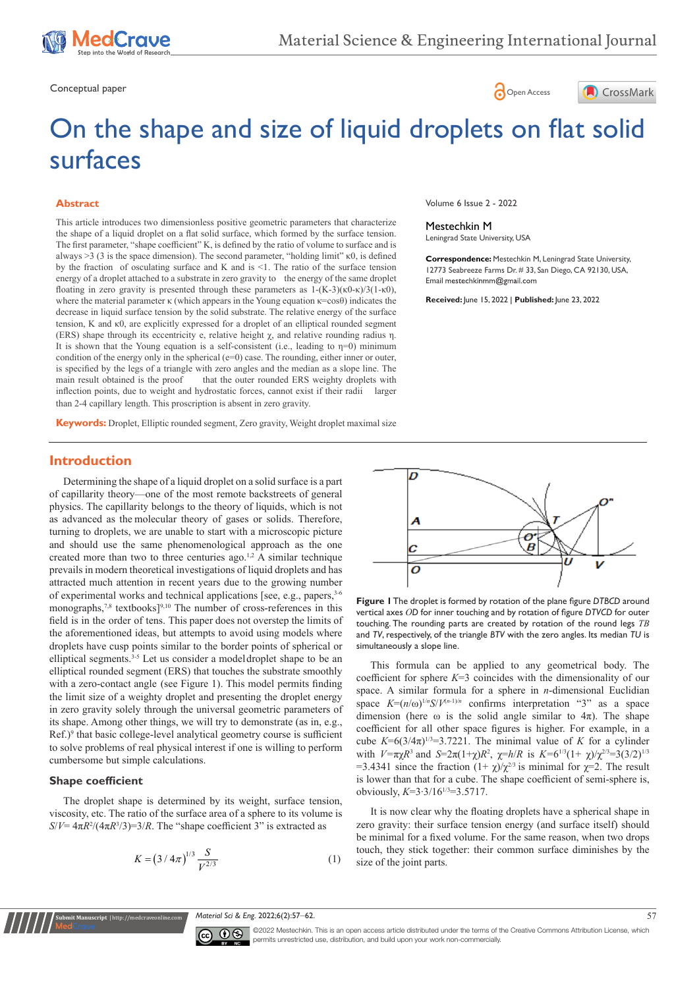

Conceptual paper and the contract of the contract of the contract of the contract of the contract of  $\Omega$  Open Access





# On the shape and size of liquid droplets on flat solid surfaces

#### **Abstract**

This article introduces two dimensionless positive geometric parameters that characterize the shape of a liquid droplet on a flat solid surface, which formed by the surface tension. The first parameter, "shape coefficient" K, is defined by the ratio of volume to surface and is always >3 (3 is the space dimension). The second parameter, "holding limit" κ0, is defined by the fraction of osculating surface and K and is <1. The ratio of the surface tension energy of a droplet attached to a substrate in zero gravity to the energy of the same droplet floating in zero gravity is presented through these parameters as 1-(K-3)(κ0-κ)/3(1-κ0), where the material parameter κ (which appears in the Young equation κ=cosθ) indicates the decrease in liquid surface tension by the solid substrate. The relative energy of the surface tension, K and κ0, are explicitly expressed for a droplet of an elliptical rounded segment (ERS) shape through its eccentricity e, relative height  $\chi$ , and relative rounding radius η. It is shown that the Young equation is a self-consistent (i.e., leading to  $\eta=0$ ) minimum condition of the energy only in the spherical (e=0) case. The rounding, either inner or outer, is specified by the legs of a triangle with zero angles and the median as a slope line. The main result obtained is the proof that the outer rounded ERS weighty droplets with inflection points, due to weight and hydrostatic forces, cannot exist if their radii larger than 2-4 capillary length. This proscription is absent in zero gravity.

Volume 6 Issue 2 - 2022

#### Mestechkin M

Leningrad State University, USA

**Correspondence:** Mestechkin M, Leningrad State University, 12773 Seabreeze Farms Dr. # 33, San Diego, CA 92130, USA, Email mestechkinmm@gmail.com

**Received:** June 15, 2022 | **Published:** June 23, 2022

**Keywords:** Droplet, Elliptic rounded segment, Zero gravity, Weight droplet maximal size

## **Introduction**

Determining the shape of a liquid droplet on a solid surface is a part of capillarity theory—one of the most remote backstreets of general physics. The capillarity belongs to the theory of liquids, which is not as advanced as the molecular theory of gases or solids. Therefore, turning to droplets, we are unable to start with a microscopic picture and should use the same phenomenological approach as the one created more than two to three centuries ago.<sup>1,2</sup> A similar technique prevails in modern theoretical investigations of liquid droplets and has attracted much attention in recent years due to the growing number of experimental works and technical applications [see, e.g., papers, <sup>3-6</sup> monographs,<sup>7,8</sup> textbooks]<sup>9,10</sup> The number of cross-references in this field is in the order of tens. This paper does not overstep the limits of the aforementioned ideas, but attempts to avoid using models where droplets have cusp points similar to the border points of spherical or elliptical segments.3-5 Let us consider a model droplet shape to be an elliptical rounded segment (ERS) that touches the substrate smoothly with a zero-contact angle (see Figure 1). This model permits finding the limit size of a weighty droplet and presenting the droplet energy in zero gravity solely through the universal geometric parameters of its shape. Among other things, we will try to demonstrate (as in, e.g., Ref.)<sup>9</sup> that basic college-level analytical geometry course is sufficient to solve problems of real physical interest if one is willing to perform cumbersome but simple calculations.

## **Shape coefficient**

**t Manuscript** | http://medcra

The droplet shape is determined by its weight, surface tension, viscosity, etc. The ratio of the surface area of a sphere to its volume is  $S/V = 4\pi R^2/(4\pi R^3/3) = 3/R$ . The "shape coefficient 3" is extracted as

$$
K = (3/4\pi)^{1/3} \frac{S}{V^{2/3}}
$$
 (1)



**Figure 1** The droplet is formed by rotation of the plane figure *DTBCD* around vertical axes *ОD* for inner touching and by rotation of figure *DTVCD* for outer touching. The rounding parts are created by rotation of the round legs *ТВ* and *TV*, respectively, of the triangle *BTV* with the zero angles. Its median *TU* is simultaneously a slope line.

This formula can be applied to any geometrical body. The coefficient for sphere *K*=3 coincides with the dimensionality of our space. A similar formula for a sphere in *n*-dimensional Euclidian space  $K=(n/\omega)^{1/n}S/V^{(n-1)/n}$  confirms interpretation "3" as a space dimension (here  $\omega$  is the solid angle similar to  $4\pi$ ). The shape coefficient for all other space figures is higher. For example, in a cube  $K=6(3/4\pi)^{1/3}=3.7221$ . The minimal value of *K* for a cylinder with  $V=\pi\chi R^3$  and  $S=2\pi(1+\chi)R^2$ ,  $\chi=h/R$  is  $K=6^{1/3}(1+\chi)/\chi^{2/3}=3(3/2)^{1/3}$ =3.4341 since the fraction  $(1+\gamma)/\gamma^{2/3}$  is minimal for  $\gamma=2$ . The result is lower than that for a cube. The shape coefficient of semi-sphere is, obviously, *K*=3∙3/161/3=3.5717.

It is now clear why the floating droplets have a spherical shape in zero gravity: their surface tension energy (and surface itself) should be minimal for a fixed volume. For the same reason, when two drops touch, they stick together: their common surface diminishes by the size of the joint parts.

*Material Sci & Eng.* 2022;6(2):57‒62. 57



©2022 Mestechkin. This is an open access article distributed under the terms of the Creative Commons Attribution License, which permits unrestricted use, distribution, and build upon your work non-commercially.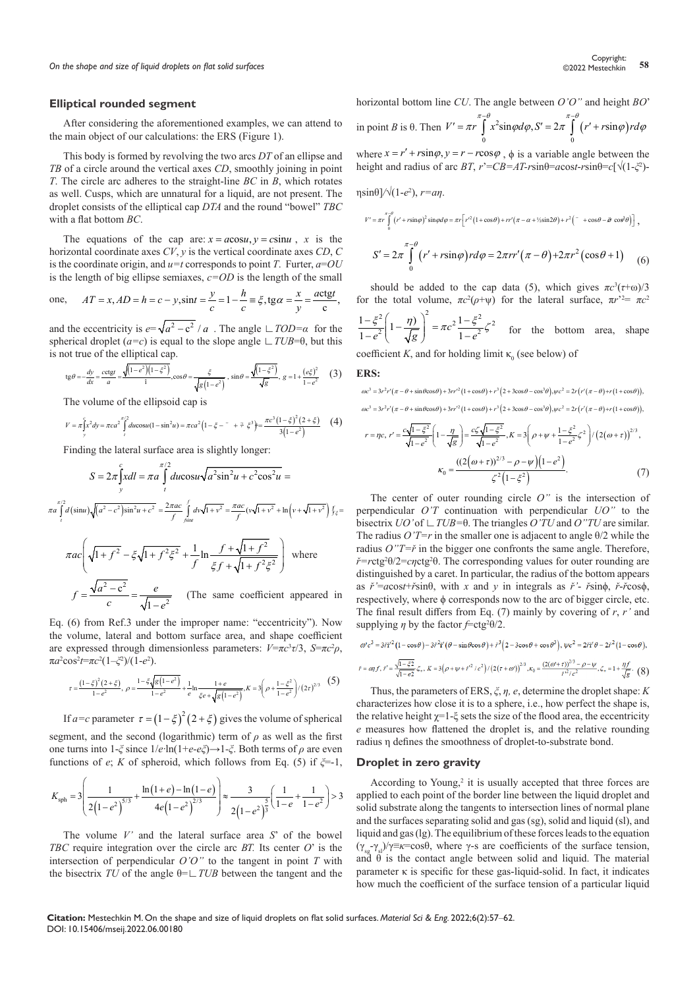#### **Elliptical rounded segment**

After considering the aforementioned examples, we can attend to the main object of our calculations: the ERS (Figure 1).

This body is formed by revolving the two arcs *DT* of an ellipse and *TB* of a circle around the vertical axes *CD*, smoothly joining in point *T*. The circle arc adheres to the straight-line *BC* in *B*, which rotates as well. Cusps, which are unnatural for a liquid, are not present. The droplet consists of the elliptical cap *DTA* and the round "bowel" *TBC* with a flat bottom *BC*.

The equations of the cap are:  $x = a \cos u$ ,  $y = c \sin u$ , x is the horizontal coordinate axes *CV*, *y* is the vertical coordinate axes *CD*, *C* is the coordinate origin, and *u=t* corresponds to point *T*. Furter, *а*=*OU* is the length of big ellipse semiaxes, *с=OD* is the length of the small

one, 
$$
AT = x
$$
,  $AD = h = c - y$ ,  $\sin t = \frac{y}{c} = 1 - \frac{h}{c} = \xi$ ,  $\tan t = \frac{x}{y} = \frac{\sec t}{c}$ ,

and the eccentricity is  $e=\sqrt{a^2-c^2}/a$ . The angle  $\perp$ *TOD=a* for the spherical droplet ( $a = c$ ) is equal to the slope angle  $\perp TUB = \theta$ , but this is not true of the elliptical cap.

$$
\text{tg}\,\theta = -\frac{dy}{dx} = \frac{\cot \theta x}{a} = \frac{\sqrt{(1 - e^2)(1 - \xi^2)}}{\hat{i}}, \cos \theta = \frac{\xi}{\sqrt{g(1 - e^2)}}, \sin \theta = \frac{\sqrt{(1 - \xi^2)}}{\sqrt{g}}, g = 1 + \frac{(e\xi)^2}{1 - e^2} \tag{3}
$$

The volume of the ellipsoid cap is

$$
V = \pi \int_{y}^{c} x^{2} dy = \pi c a^{2} \int_{t}^{z/2} du \cos u (1 - \sin^{2} u) = \pi c a^{2} \left( 1 - \xi - \frac{\pi}{2} + \frac{\pi}{2} \xi^{3} \right) = \frac{\pi c^{3} \left( 1 - \xi \right)^{2} \left( 2 + \xi \right)}{3 \left( 1 - e^{2} \right)} \tag{4}
$$

Finding the lateral surface area is slightly longer:

$$
S = 2\pi \int_{y}^{c} xdl = \pi a \int_{t}^{\pi/2} du \cos u \sqrt{a^2 \sin^2 u + c^2 \cos^2 u} =
$$
  

$$
\pi a \int_{t}^{\pi/2} d(\sin u) \sqrt{(a^2 - c^2) \sin^2 u + c^2} = \frac{2\pi ac}{f} \int_{\sin u}^{c} dv \sqrt{1 + v^2} = \frac{\pi ac}{f} (v \sqrt{1 + v^2} + \ln(v + \sqrt{1 + v^2})) f_{\xi} =
$$
  

$$
\pi ac \left( \sqrt{1 + f^2} - \xi \sqrt{1 + f^2 \xi^2} + \frac{1}{f} \ln \frac{f + \sqrt{1 + f^2}}{\xi f + \sqrt{1 + f^2 \xi^2}} \right) \text{ where}
$$
  

$$
f = \frac{\sqrt{a^2 - c^2}}{c} = \frac{e}{\sqrt{1 - e^2}} \qquad \text{(The same coefficient appeared in}
$$

Eq. (6) from Ref.3 under the improper name: "eccentricity"). Now the volume, lateral and bottom surface area, and shape coefficient are expressed through dimensionless parameters: *V*=*πc*<sup>3</sup> *τ*/3, *S*=*πc*<sup>2</sup> *ρ*,  $πa<sup>2</sup>cos<sup>2</sup>t=πc<sup>2</sup>(1−ξ<sup>2</sup>)/(1-e<sup>2</sup>).$ 

$$
\tau = \frac{\left(1-\xi\right)^2 \left(2+\xi\right)}{1-e^2}, \ \rho = \frac{1-\xi \sqrt{g\left(1-e^2\right)}}{1-e^2} + \frac{1}{e} \ln \frac{1+e}{\xi e + \sqrt{g\left(1-e^2\right)}}, K = 3\left(\rho + \frac{1-\xi^2}{1-e^2}\right) / \left(2\tau\right)^{2/3} \tag{5}
$$

If  $a = c$  parameter  $\tau = (1 - \xi)^2 (2 + \xi)$  gives the volume of spherical segment, and the second (logarithmic) term of *ρ* as well as the first one turns into 1-*ξ* since 1/*e∙*ln(1+*e-eξ*)→1*-ξ*. Both terms of *ρ* are even functions of *e*; *K* of spheroid, which follows from Eq. (5) if *ξ*=-1,

$$
K_{\rm sph} = 3\left(\frac{1}{2\left(1-e^2\right)^{5/3}} + \frac{\ln(1+e) - \ln(1-e)}{4e\left(1-e^2\right)^{2/3}}\right) \approx \frac{3}{2\left(1-e^2\right)^{\frac{5}{3}}}\left(\frac{1}{1-e} + \frac{1}{1-e^2}\right) > 3
$$

The volume *V'* and the lateral surface area *S*' of the bowel *TBC* require integration over the circle arc *ВТ.* Its center *O*' is the intersection of perpendicular *O'O"* to the tangent in point *T* with the bisectrix *TU* of the angle  $\theta = \Box$  *TUB* between the tangent and the horizontal bottom line *CU*. The angle between *O'O"* and height *BO*' in point *B* is  $\theta$ . Then  $V' = \pi r \int x^2 \sin \varphi d\varphi$ ,  $S' = 2\pi \int (r' + r \sin \varphi)$ 0 0  $V' = \pi r \int_0^{\pi-\theta} x^2 \sin\varphi d\varphi$ ,  $S' = 2\pi \int_0^{\pi-\theta} (r' + r\sin\varphi) r d\varphi$  $\pi r$  | x<sup>-</sup>sin $\varphi a\varphi, s = 2\pi$  | (r + rsin $\varphi$ )ra $\varphi$  $\sigma' = \pi r \int_{0}^{\pi-\theta} x^2 \sin \varphi d\varphi, S' = 2\pi \int_{0}^{\pi-\theta} (r' +$ where  $x = r' + r \sin \varphi$ ,  $y = r - r \cos \varphi$ ,  $\phi$  is a variable angle between the height and radius of arc *BТ*, *r*'=*CB=AT-r*sinθ=*a*cos*t*-*r*sinθ=*c*[*√*(1-*ξ*<sup>2</sup> )-

$$
\eta \sin\theta \left[\sqrt{(1-e^2)}, r = a\eta.\right]
$$
  
\n
$$
V' = \pi r \int_{0}^{\pi-\theta} (r' + r\sin\varphi)^2 \sin\varphi d\varphi = \pi r \left[r'^2(1+\cos\theta) + rr'(\pi-\alpha+\frac{1}{2}\sin2\theta) + r^2\left(\pi - \cos\theta - \frac{\varphi}{\theta}\cos^2\theta\right)\right],
$$
  
\n
$$
S' = 2\pi \int_{0}^{\pi-\theta} (r' + r\sin\varphi) r d\varphi = 2\pi r r'(\pi-\theta) + 2\pi r^2 (\cos\theta + 1)
$$
 (6)

should be added to the cap data (5), which gives  $\pi c^3(\tau+\omega)/3$ for the total volume,  $\pi c^2(\rho+\psi)$  for the lateral surface,  $\pi r^2 = \pi c^2$ 

 $rac{1-\xi^2}{1-e^2}\left(1-\frac{\eta}{\sqrt{g}}\right)^2 = \pi c^2 \frac{1-\xi^2}{1-e^2}\zeta^2$  for the bottom area, shape

coefficient *K*, and for holding limit  $\kappa_0$  (see below) of

#### **ERS:**

 $\omega c^3 = 3r^2r'(\pi - \theta + \sin\theta\cos\theta) + 3rr'^2(1 + \cos\theta) + r^3(2 + 3\cos\theta - \cos^3\theta), \psi c^2 = 2r(r'(\pi - \theta) + r(1 + \cos\theta)),$  $\omega c^3 = 3r^2r'(\pi - \theta + \sin\theta\cos\theta) + 3rr'^2(1 + \cos\theta) + r^3(2 + 3\cos\theta - \cos^3\theta), \psi c^2 = 2r(r'(\pi - \theta) + r(1 + \cos\theta)).$ 

$$
r = \eta c, r' = \frac{c\sqrt{1 - \xi^2}}{\sqrt{1 - e^2}} \left(1 - \frac{\eta}{\sqrt{g}}\right) = \frac{c\zeta\sqrt{1 - \xi^2}}{\sqrt{1 - e^2}}, K = 3\left(\rho + \psi + \frac{1 - \xi^2}{1 - e^2}\zeta^2\right) / \left(2(\omega + \tau)\right)^{2/3},
$$

$$
\kappa_0 = \frac{\left((2(\omega + \tau))^{2/3} - \rho - \psi\right)\left(1 - e^2\right)}{\zeta^2 \left(1 - \xi^2\right)}.
$$
(7)

 The center of outer rounding circle *O"* is the intersection of perpendicular *O'T* continuation with perpendicular *UO"* to the bisectrix *UO'* of ∟*TUB=*θ. The triangles *O'TU* and *O"TU* are similar. The radius  $O'T=r$  in the smaller one is adjacent to angle  $\theta/2$  while the radius *O"T=ř* in the bigger one confronts the same angle. Therefore, *ř=r*ctg2 θ/2=*cη*ctg2 θ. The corresponding values for outer rounding are distinguished by a caret. In particular, the radius of the bottom appears as *ř'*=*a*cos*t*+*ř*sinθ, with *x* and *y* in integrals as *ř'*- *ř*sinϕ, *ř*-*ř*cosϕ, respectively, where ϕ corresponds now to the arc of bigger circle, etc. The final result differs from Eq. (7) mainly by covering of *r*, *r'* and supplying  $\eta$  by the factor  $\text{f=ctg}^2\theta/2$ .

$$
\omega' c^3 = 3\tilde{r}t^{\prime 2} \left(1 - \cos\theta\right) - 3\tilde{r}^2 \tilde{r}' \left(\theta - \sin\theta\cos\theta\right) + \tilde{r}^3 \left(2 - 3\cos\theta + \cos\theta^3\right), \quad \psi c^2 = 2\tilde{r}t^{\prime}\theta - 2\tilde{r}^2 \left(1 - \cos\theta\right),
$$
\n
$$
\tilde{r} = \alpha\eta f, \quad \tilde{r}' = \frac{\sqrt{1 - \xi^2}}{\sqrt{1 - \epsilon^2}} \zeta_+, \quad K = 3\left(\rho + \psi + \tilde{r}'^2/c^2\right) / \left(2\left(\tau + \omega^*\right)\right)^{2/3}, \quad K_0 = \frac{\left(2(\omega^* + \tau)\right)^{2/3} - \rho - \psi}{\tilde{r}^2/c^2}, \quad \tilde{\zeta}_+ = 1 + \frac{\eta f}{\sqrt{g}}.\tag{8}
$$

Thus, the parameters of ERS, *ξ*, *η, е*, determine the droplet shape: *K* characterizes how close it is to a sphere, i.e., how perfect the shape is, the relative height  $\gamma=1-\xi$  sets the size of the flood area, the eccentricity *e* measures how flattened the droplet is, and the relative rounding radius η defines the smoothness of droplet-to-substrate bond.

### **Droplet in zero gravity**

According to Young,<sup>2</sup> it is usually accepted that three forces are applied to each point of the border line between the liquid droplet and solid substrate along the tangents to intersection lines of normal plane and the surfaces separating solid and gas (sg), solid and liquid (sl), and liquid and gas (lg). The equilibrium of these forces leads to the equation  $(\gamma_{ss}-\gamma_{sl})/\gamma \equiv \kappa = \cos\theta$ , where  $\gamma$ -s are coefficients of the surface tension, and  $\theta$  is the contact angle between solid and liquid. The material parameter  $\kappa$  is specific for these gas-liquid-solid. In fact, it indicates how much the coefficient of the surface tension of a particular liquid

**Citation:** Mestechkin M. On the shape and size of liquid droplets on flat solid surfaces. *Material Sci & Eng.* 2022;6(2):57‒62. DOI: [10.15406/mseij.2022.06.00180](https://doi.org/10.15406/mseij.2022.06.00180)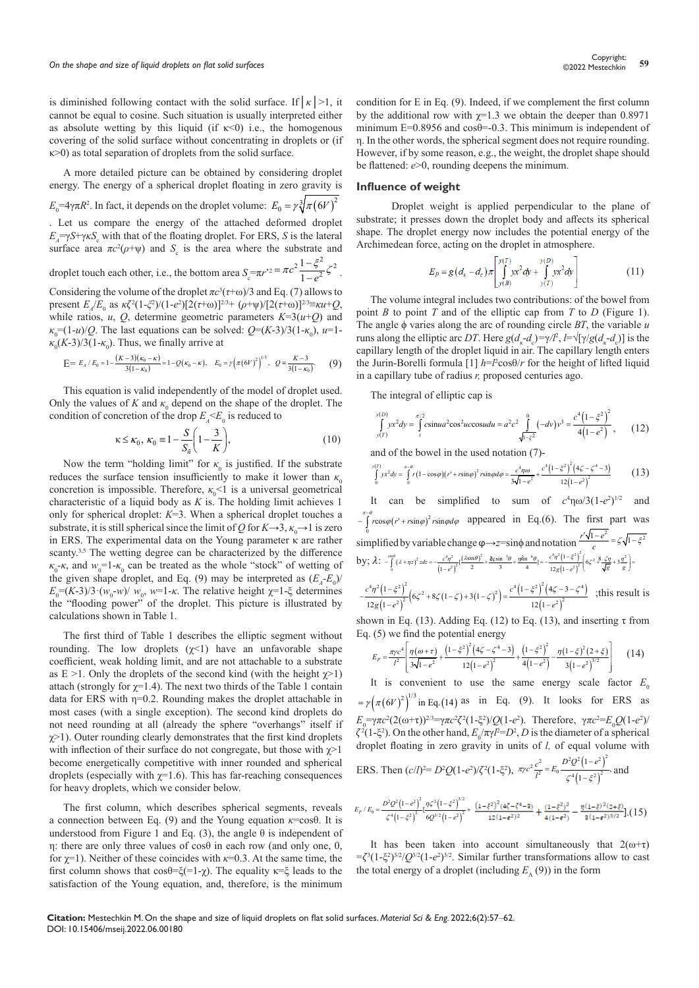is diminished following contact with the solid surface. If│*κ*│>1, it cannot be equal to cosine. Such situation is usually interpreted either as absolute wetting by this liquid (if  $\kappa$ <0) i.e., the homogenous covering of the solid surface without concentrating in droplets or (if  $\kappa$  $>$ 0) as total separation of droplets from the solid surface.

A more detailed picture can be obtained by considering droplet energy. The energy of a spherical droplet floating in zero gravity is *E*<sub>0</sub>=4γπ*R*<sup>2</sup>. In fact, it depends on the droplet volume:  $E_0 = \gamma \sqrt[3]{\pi (6V)^2}$ . Let us compare the energy of the attached deformed droplet *E<sub>A</sub>*=γ*S*+γ*κS*<sub>c</sub> with that of the floating droplet. For ERS, *S* is the lateral

surface area  $\pi c^2(\rho + \psi)$  and  $S_c$  is the area where the substrate and droplet touch each other, i.e., the bottom area  $S_c = \pi r^2 = \pi c^2 \frac{1 - \xi^2}{1 - e^2} \zeta^2$  $= \pi c^2 \frac{1 - \xi^2}{1 - e^2} \zeta^2$ .

Considering the volume of the droplet  $\pi c^3(\tau+\omega)/3$  and Eq. (7) allows to  $\frac{\partial}{\partial \tau} P(z) = \frac{F_A}{E_0} \text{ as } \kappa \zeta^2 (1-\zeta^2)/(1-e^2)[2(\tau+\omega)]^{2/3} + (\rho+\psi)/[2(\tau+\omega)]^{2/3} \equiv \kappa u + Q,$ while ratios,  $u$ ,  $Q$ , determine geometric parameters  $K=3(u+Q)$  and  $\kappa_0 = (1-u)/Q$ . The last equations can be solved:  $Q = (K-3)/3(1-\kappa_0)$ ,  $u=1$  $\kappa_0$ (*K*-3)/3(1- $\kappa_0$ ). Thus, we finally arrive at

$$
E = E_A / E_0 = 1 - \frac{(K - 3)(\kappa_0 - \kappa)}{3(1 - \kappa_0)} = 1 - Q(\kappa_0 - \kappa), \quad E_0 = \gamma \left(\pi (6V)^2\right)^{1/3}, \quad Q = \frac{K - 3}{3(1 - \kappa_0)}.
$$
 (9)

This equation is valid independently of the model of droplet used. Only the values of  $K$  and  $\kappa_0$  depend on the shape of the droplet. The condition of concretion of the drop  $E_A \leq E_0$  is reduced to

$$
\kappa \le \kappa_0, \ \kappa_0 \equiv 1 - \frac{S}{S_{\tilde{n}}} \bigg( 1 - \frac{3}{K} \bigg), \tag{10}
$$

Now the term "holding limit" for  $\kappa_0$  is justified. If the substrate reduces the surface tension insufficiently to make it lower than  $\kappa_0$ concretion is impossible. Therefore,  $\kappa_0$ <1 is a universal geometrical characteristic of a liquid body as *K* is. The holding limit achieves 1 only for spherical droplet: *K*=3. When a spherical droplet touches a substrate, it is still spherical since the limit of *Q* for  $K \rightarrow 3$ ,  $\kappa_0 \rightarrow 1$  is zero in ERS. The experimental data on the Young parameter κ are rather scanty.<sup>3,5</sup> The wetting degree can be characterized by the difference *κ*<sub>0</sub>-*κ*, and *w*<sub>0</sub>=1-*κ*<sub>0</sub> can be treated as the whole "stock" of wetting of the given shape droplet, and Eq. (9) may be interpreted as  $(E_A - E_0)$ / *E*<sub>0</sub>=(*K*-3)/3·(*w*<sub>0</sub>-*w*)/ *w*<sub>0</sub>, *w*=1-*κ*. The relative height  $\chi$ =1-ξ determines the "flooding power" of the droplet. This picture is illustrated by calculations shown in Table 1.

The first third of Table 1 describes the elliptic segment without rounding. The low droplets  $(\chi<1)$  have an unfavorable shape coefficient, weak holding limit, and are not attachable to a substrate as E >1. Only the droplets of the second kind (with the height  $\chi$ >1) attach (strongly for  $\chi$ =1.4). The next two thirds of the Table 1 contain data for ERS with η=0.2. Rounding makes the droplet attachable in most cases (with a single exception). The second kind droplets do not need rounding at all (already the sphere "overhangs" itself if  $\chi$ >1). Outer rounding clearly demonstrates that the first kind droplets with inflection of their surface do not congregate, but those with  $\chi$ >1 become energetically competitive with inner rounded and spherical droplets (especially with  $\chi$ =1.6). This has far-reaching consequences for heavy droplets, which we consider below.

The first column, which describes spherical segments, reveals a connection between Eq. (9) and the Young equation *κ*=cosθ. It is understood from Figure 1 and Eq. (3), the angle  $\theta$  is independent of η: there are only three values of cosθ in each row (and only one, 0, for χ=1). Neither of these coincides with *κ*=0.3. At the same time, the first column shows that  $\cos\theta = \xi(-1-\gamma)$ . The equality  $\kappa = \xi$  leads to the satisfaction of the Young equation, and, therefore, is the minimum

condition for E in Eq. (9). Indeed, if we complement the first column by the additional row with  $\chi=1.3$  we obtain the deeper than 0.8971 minimum  $E=0.8956$  and cos $\theta=-0.3$ . This minimum is independent of η. In the other words, the spherical segment does not require rounding. However, if by some reason, e.g., the weight, the droplet shape should be flattened: *e*>0, rounding deepens the minimum.

#### **Influence of weight**

Droplet weight is applied perpendicular to the plane of substrate; it presses down the droplet body and affects its spherical shape. The droplet energy now includes the potential energy of the Archimedean force, acting on the droplet in atmosphere.

$$
E_P = g(d_k - d_c) \pi \left[ \int_{y(B)}^{y(T)} yx^2 dy + \int_{y(T)}^{y(D)} yx^2 dy \right]
$$
 (11)

The volume integral includes two contributions: of the bowel from point *B* to point *T* and of the elliptic cap from *T* to *D* (Figure 1). The angle ϕ varies along the arc of rounding circle *ВТ*, the variable *u* runs along the elliptic arc *DT*. Here  $g(d_k - d_e) = \gamma/l^2$ ,  $l = \sqrt{[\gamma/g(d_k - d_e)]}$  is the capillary length of the droplet liquid in air. The capillary length enters the Jurin-Borelli formula  $[1]$   $h = l^2 \cos{\theta}/r$  for the height of lifted liquid in a capillary tube of radius *r,* proposed centuries ago.

The integral of elliptic cap is

$$
\int_{y(T)}^{y(D)} yx^2 dy = \int_{t}^{\pi/2} c \sin(az^2) \cos(2uc) \cos(2u) \, du = a^2 c^2 \int_{1-\xi^2}^{0} (-dv) v^3 = \frac{c^4 (1-\xi^2)^2}{4(1-e^2)},\qquad(12)
$$

and of the bowel in the used notation (7)-

$$
\int_{0}^{y(T)} yx^{2} dy = \int_{0}^{\pi-\theta} r(1-\cos\varphi)(r'+r\sin\varphi)^{2} r\sin\varphi d\varphi = \frac{c^{4}\eta\omega}{3\sqrt{1-e^{2}}} + \frac{c^{4}(1-\xi^{2})^{2}(4\zeta-\zeta^{4}-3)}{12(1-e^{2})^{2}}
$$
(13)

It can be simplified to sum of  $c^4 \eta \omega/3 (1-e^2)^{1/2}$  and  $(r' + r\sin\varphi)^2$  $\int_{0}^{\pi-\theta} r\cos\varphi (r'+r\sin\varphi)^2 r\sin\varphi d\varphi$  $-\int_{-\infty}^{\pi-\theta} r \cos \varphi (r' + r \sin \varphi)^2 r \sin \varphi d\varphi$  appeared in Eq.(6). The first part was simplified by variable change φ→*z*=sinφ and notation  $\frac{r'\sqrt{1-e^2}}{c} = \zeta \sqrt{1-\xi^2}$ by;  $\lambda: -\int_{0}^{\sin\theta} ( \lambda + \eta z)^2 z dz = -\frac{c^4 \eta^2}{(1-e^2)^2} \left[ \frac{(\lambda \sin \theta)^2}{2} + \frac{2 \sin^3 \theta}{3} + \frac{\eta \sin^{-4} \theta}{4} \right] = -\frac{c^4 \eta^2 (1-\xi^2)}{12 g(1-e^2)}$  $(1-e^2)$  $\int_{a}^{1} (2 \cos^2 \theta - \cos^2 \theta) d\theta = -\frac{c^4 \eta^2}{2} \int_{a}^{a} (2 \sin \theta)^2 + 2 \sin^3 \theta - \eta^2 \sin^4 \theta = -\frac{c^4 \eta^2 (1 - \xi^2)^2}{2} \Big|_{a}^{a} \leq 8 \xi \eta - 2 \eta^2$  $-\int_{0}^{\sin\theta} ( \lambda + \eta z )^{2} z dz = -\frac{c^{4} \eta^{2}}{\left(1 - e^{2}\right)^{2}} \left[ \frac{(\lambda \sin \theta)^{2}}{2} + \frac{\mathcal{R} \sin^{-3} \theta}{3} + \frac{\eta \sin^{-4} \theta}{4} \right] = -\frac{c^{4} \eta^{2} \left(1 - \xi^{2}\right)^{2}}{12 g \left(1 - e^{2}\right)^{2}} \left(6 \zeta^{2} + \frac{8 \zeta \eta}{\sqrt{g}} + 3 \frac{\eta^{2}}{g}\right) =$  $^{4}n^{2}(1+z^{2})^{2}$   $c^{4}(1+z^{2})^{2}(4z-3z^{4})$  $1 - \xi^2$   $(4\zeta - 3)$  $c^4\eta^2(1-\xi^2)$   $(1-\xi^2)$   $(2\eta^2)(1-\xi^2)$ 

$$
-\frac{c^4\eta^2\left(1-\xi^2\right)^2}{12g\left(1-e^2\right)^2}\left(6\zeta^2+8\zeta\left(1-\zeta\right)+3(1-\zeta)^2\right)=\frac{c^4\left(1-\xi^2\right)^2\left(4\zeta^2-3-\zeta^4\right)}{12\left(1-e^2\right)^2}
$$
; this result is

shown in Eq. (13). Adding Eq. (12) to Eq. (13), and inserting τ from Eq. (5) we find the potential energy

$$
E_P = \frac{\pi r c^4}{l^2} \left[ \frac{\eta(\omega + \tau)}{3\sqrt{1 - e^2}} + \frac{\left(1 - \xi^2\right)^2 \left(4\zeta - \zeta^4 - 3\right)}{12\left(1 - e^2\right)^2} + \frac{\left(1 - \xi^2\right)^2}{4\left(1 - e^2\right)} - \frac{\eta\left(1 - \xi\right)^2 (2 + \xi)}{3\left(1 - e^2\right)^{3/2}} \right] \tag{14}
$$

It is convenient to use the same energy scale factor  $E_0$  $=\gamma(\pi(6V)^2)^{1/3}$  in Eq. (14) as in Eq. (9). It looks for ERS as *E*<sub>0</sub>=γ*πc*<sup>2</sup>(2(ω+τ))<sup>2/3</sup>=γ*πc*<sup>2</sup>ζ<sup>2</sup>(1-ξ<sup>2</sup>)/*Q*(1-*e*<sup>2</sup>). Therefore, γ*πc*<sup>2=*E*<sub>0</sub>*Q*(1-*e*<sup>2</sup>)/</sup>  $\zeta^2(1-\xi^2)$ . On the other hand,  $E_0/\pi\gamma l^2 = D^2$ , *D* is the diameter of a spherical droplet floating in zero gravity in units of *l,* of equal volume with

ERS. Then 
$$
(c/l)^2 = D^2 Q (1 - e^2) / \zeta^2 (1 - \xi^2)
$$
,  $\pi r c^2 \frac{c^2}{l^2} = E_0 \frac{D^2 Q^2 (1 - e^2)^2}{\zeta^4 (1 - \xi^2)^2}$ , and

$$
E_P/E_0 = \frac{D^2 Q^2 \left(1 - \varepsilon^2\right)^2}{\zeta^4 \left(1 - \xi^2\right)^2} \frac{n \zeta^3 \left(1 - \xi^2\right)^{3/2}}{6Q^{3/2} \left(1 - \varepsilon^2\right)^2} + \frac{\left(1 - \xi^2\right)^2 (4\zeta - \zeta^4 - 3)}{12 \left(1 - \varepsilon^2\right)^2} + \frac{\left(1 - \xi^2\right)^2}{4 \left(1 - \varepsilon^2\right)} - \frac{\eta \left(1 - \xi\right)^2 (2 + \xi)}{3 \left(1 - \varepsilon^2\right)^{3/2}} \mathbf{1}. \tag{15}
$$

It has been taken into account simultaneously that  $2(\omega+\tau)$  $=\zeta^3(1-\xi^2)^{3/2}/Q^{3/2}(1-e^2)^{3/2}$ . Similar further transformations allow to cast the total energy of a droplet (including  $E_A(9)$ ) in the form

**Citation:** Mestechkin M. On the shape and size of liquid droplets on flat solid surfaces. *Material Sci & Eng.* 2022;6(2):57‒62. DOI: [10.15406/mseij.2022.06.00180](https://doi.org/10.15406/mseij.2022.06.00180)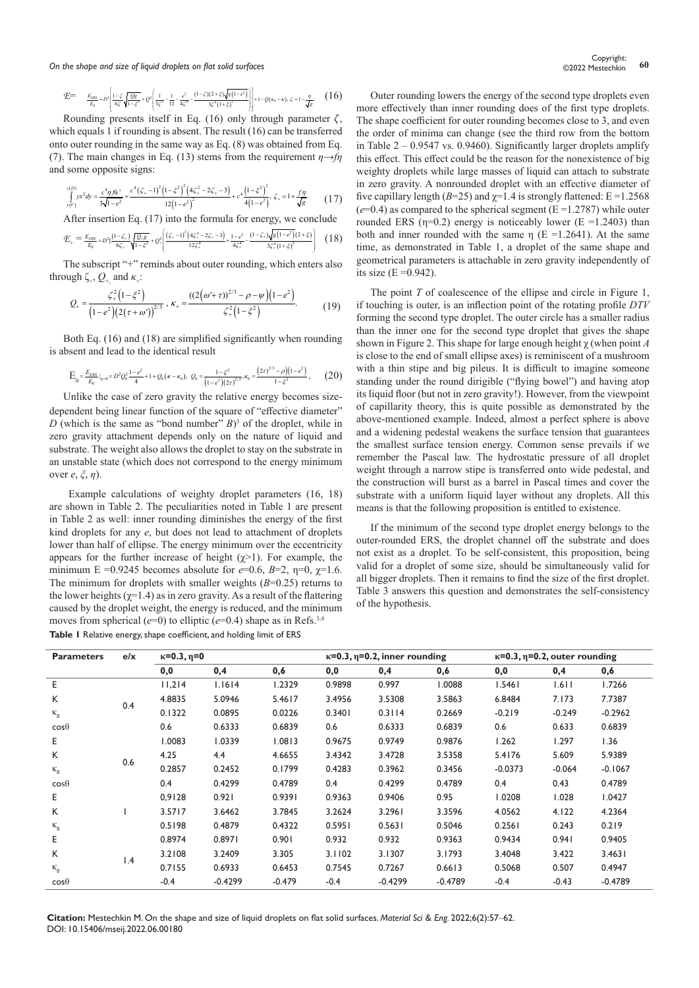*On the shape and size of liquid droplets on flat solid surfaces* **<sup>60</sup>** Copyright:

$$
\textbf{E} = -\frac{E_{\text{SSS}}}{E_{0}} = D^{2} \left[ \frac{1-\zeta}{6\zeta} \sqrt{\frac{Qg}{1-\xi^{2}}} + Q^{2} \left( \frac{1}{3\zeta^{3}} - \frac{1}{12} - \frac{e^{2}}{4\zeta^{4}} - \frac{(1-\zeta)(2+\xi)\sqrt{g\left(1-e^{2}\right)}}{3\zeta^{4}(1+\xi)^{2}} \right) \right] + 1 - Q(\kappa_{0} - \kappa), \, \zeta = 1 - \frac{\eta}{\sqrt{g}}. \tag{16}
$$

Rounding presents itself in Eq. (16) only through parameter  $\zeta$ , which equals 1 if rounding is absent. The result (16) can be transferred onto outer rounding in the same way as Eq. (8) was obtained from Eq. (7). The main changes in Eq. (13) stems from the requirement  $\eta \rightarrow f\eta$ and some opposite signs:

$$
\int_{y(F)}^{y(D)} yx^2 dy = \frac{c^4 \eta f \hat{u}^3}{3\sqrt{1-e^2}} + \frac{c^4 (\zeta_+ - 1)^2 (1 - \xi^2)^2 (4\zeta_+^2 - 2\zeta_+ - 3)}{12(1 - e^2)^2} + c^4 \frac{(1 - \xi^2)^2}{4(1 - e^2)}, \zeta_+ = 1 + \frac{f\eta}{\sqrt{g}}.\tag{17}
$$

After insertion Eq. (17) into the formula for energy, we conclude

$$
\mathcal{L}_{+} = \frac{E_{\text{ERS}}}{E_0} = D^2 \left[ \frac{(1-\zeta_+)}{6\zeta_+} \sqrt{\frac{Q_*g}{1-\zeta^2}} + \mathcal{Q}_+^2 \right] \frac{(\zeta_+ - 1)^2 \left(4\zeta_+^2 - 2\zeta_+ - 3\right)}{12\zeta_+^4} + \frac{1 - e^2}{4\zeta_+^4} - \frac{(1 - \zeta_+)\sqrt{g\left(1 - e^2\right)}(2 + \zeta)}{3\zeta_+^4 \left(1 + \zeta_+^2\right)^2} \tag{18}
$$

The subscript "+" reminds about outer rounding, which enters also through  $\zeta_+$ ,  $Q_{+}$  and  $\kappa_+$ :

$$
Q_{+} = \frac{\zeta_{+}^{2} (1 - \xi^{2})}{(1 - e^{2})(2(\tau + \omega'))^{2/3}}, \ \kappa_{+} = \frac{((2(\omega^{+} + \tau))^{2/3} - \rho - \psi)(1 - e^{2})}{\zeta_{+}^{2} (1 - \xi^{2})}.
$$
 (19)

Both Eq. (16) and (18) are simplified significantly when rounding is absent and lead to the identical result

$$
E_0 = \frac{E_{\text{ENS}}}{E_0}\big|_{y=0} = D^2 Q_0^2 \frac{1 - e^2}{4} + 1 + Q_0(\kappa - \kappa_0), \ \ Q_0 = \frac{1 - \xi^2}{\left(1 - e^2\right)(2\tau)^{2/3}}, \ \kappa_0 = \frac{(2\tau)^{2/3} - \rho\left(1 - e^2\right)}{1 - \xi^2} \,. \tag{20}
$$

Unlike the case of zero gravity the relative energy becomes sizedependent being linear function of the square of "effective diameter" *D* (which is the same as "bond number"  $B$ )<sup>3</sup> of the droplet, while in zero gravity attachment depends only on the nature of liquid and substrate. The weight also allows the droplet to stay on the substrate in an unstable state (which does not correspond to the energy minimum over *е*, *ξ*, *η*).

 Example calculations of weighty droplet parameters (16, 18) are shown in Table 2. The peculiarities noted in Table 1 are present in Table 2 as well: inner rounding diminishes the energy of the first kind droplets for any *e*, but does not lead to attachment of droplets lower than half of ellipse. The energy minimum over the eccentricity appears for the further increase of height  $(\chi > 1)$ . For example, the minimum E =0.9245 becomes absolute for  $e=0.6$ ,  $B=2$ ,  $\eta=0$ ,  $\chi=1.6$ . The minimum for droplets with smaller weights ( $B=0.25$ ) returns to the lower heights ( $\chi$ =1.4) as in zero gravity. As a result of the flattering caused by the droplet weight, the energy is reduced, and the minimum moves from spherical ( $e=0$ ) to elliptic ( $e=0.4$ ) shape as in Refs.<sup>3,4</sup> **Table 1** Relative energy, shape coefficient, and holding limit of ERS

Outer rounding lowers the energy of the second type droplets even more effectively than inner rounding does of the first type droplets. The shape coefficient for outer rounding becomes close to 3, and even the order of minima can change (see the third row from the bottom in Table 2 – 0.9547 vs. 0.9460). Significantly larger droplets amplify this effect. This effect could be the reason for the nonexistence of big weighty droplets while large masses of liquid can attach to substrate in zero gravity. A nonrounded droplet with an effective diameter of five capillary length ( $B=25$ ) and  $\chi=1.4$  is strongly flattened: E =1.2568  $(e=0.4)$  as compared to the spherical segment  $(E=1.2787)$  while outer rounded ERS ( $\eta$ =0.2) energy is noticeably lower (E =1.2403) than both and inner rounded with the same  $\eta$  (E =1.2641). At the same time, as demonstrated in Table 1, a droplet of the same shape and geometrical parameters is attachable in zero gravity independently of its size  $(E = 0.942)$ .

The point *T* of coalescence of the ellipse and circle in Figure 1, if touching is outer, is an inflection point of the rotating profile *DTV* forming the second type droplet. The outer circle has a smaller radius than the inner one for the second type droplet that gives the shape shown in Figure 2. This shape for large enough height χ (when point *A*  is close to the end of small ellipse axes) is reminiscent of a mushroom with a thin stipe and big pileus. It is difficult to imagine someone standing under the round dirigible ("flying bowel") and having atop its liquid floor (but not in zero gravity!). However, from the viewpoint of capillarity theory, this is quite possible as demonstrated by the above-mentioned example. Indeed, almost a perfect sphere is above and a widening pedestal weakens the surface tension that guarantees the smallest surface tension energy. Common sense prevails if we remember the Pascal law. The hydrostatic pressure of all droplet weight through a narrow stipe is transferred onto wide pedestal, and the construction will burst as a barrel in Pascal times and cover the substrate with a uniform liquid layer without any droplets. All this means is that the following proposition is entitled to existence.

If the minimum of the second type droplet energy belongs to the outer-rounded ERS, the droplet channel off the substrate and does not exist as a droplet. To be self-consistent, this proposition, being valid for a droplet of some size, should be simultaneously valid for all bigger droplets. Then it remains to find the size of the first droplet. Table 3 answers this question and demonstrates the self-consistency of the hypothesis.

| <b>Parameters</b> | e/x | $\kappa = 0.3, \eta = 0$ |           |          |        | $\kappa$ =0.3, $\eta$ =0.2, inner rounding |           | $\kappa$ =0.3, $\eta$ =0.2, outer rounding |          |           |
|-------------------|-----|--------------------------|-----------|----------|--------|--------------------------------------------|-----------|--------------------------------------------|----------|-----------|
|                   |     | 0,0                      | 0,4       | 0,6      | 0,0    | 0,4                                        | 0,6       | 0,0                                        | 0,4      | 0,6       |
| E                 |     | 11,214                   | 1.1614    | 1.2329   | 0.9898 | 0.997                                      | 8800.1    | 1.5461                                     | 1.611    | 1.7266    |
| K                 | 0.4 | 4.8835                   | 5.0946    | 5.4617   | 3.4956 | 3.5308                                     | 3.5863    | 6.8484                                     | 7.173    | 7.7387    |
| $\kappa_0$        |     | 0.1322                   | 0.0895    | 0.0226   | 0.3401 | 0.3114                                     | 0.2669    | $-0.219$                                   | $-0.249$ | $-0.2962$ |
| $cos\theta$       |     | 0.6                      | 0.6333    | 0.6839   | 0.6    | 0.6333                                     | 0.6839    | 0.6                                        | 0.633    | 0.6839    |
| E.                |     | 1.0083                   | 1.0339    | 1.0813   | 0.9675 | 0.9749                                     | 0.9876    | 1.262                                      | 1.297    | 1.36      |
| K                 |     | 4.25                     | 4.4       | 4.6655   | 3.4342 | 3.4728                                     | 3.5358    | 5.4176                                     | 5.609    | 5.9389    |
| $\kappa_{0}$      | 0.6 | 0.2857                   | 0.2452    | 0.1799   | 0.4283 | 0.3962                                     | 0.3456    | $-0.0373$                                  | $-0.064$ | $-0.1067$ |
| $cos\theta$       |     | 0.4                      | 0.4299    | 0.4789   | 0.4    | 0.4299                                     | 0.4789    | 0.4                                        | 0.43     | 0.4789    |
| Е                 |     | 0,9128                   | 0.921     | 0.9391   | 0.9363 | 0.9406                                     | 0.95      | 1.0208                                     | 1.028    | 1.0427    |
| K                 |     | 3.5717                   | 3.6462    | 3.7845   | 3.2624 | 3.2961                                     | 3.3596    | 4.0562                                     | 4.122    | 4.2364    |
| $\kappa_0$        |     | 0.5198                   | 0.4879    | 0.4322   | 0.5951 | 0.5631                                     | 0.5046    | 0.2561                                     | 0.243    | 0.219     |
| Е                 |     | 0.8974                   | 0.8971    | 0.901    | 0.932  | 0.932                                      | 0.9363    | 0.9434                                     | 0.941    | 0.9405    |
| K                 |     | 3.2108                   | 3.2409    | 3.305    | 3.1102 | 3.1307                                     | 3.1793    | 3.4048                                     | 3.422    | 3.4631    |
| $\kappa_{0}$      | 1.4 | 0.7155                   | 0.6933    | 0.6453   | 0.7545 | 0.7267                                     | 0.6613    | 0.5068                                     | 0.507    | 0.4947    |
| $cos\theta$       |     | $-0.4$                   | $-0.4299$ | $-0.479$ | $-0.4$ | $-0.4299$                                  | $-0.4789$ | $-0.4$                                     | $-0.43$  | $-0.4789$ |

**Citation:** Mestechkin M. On the shape and size of liquid droplets on flat solid surfaces. *Material Sci & Eng.* 2022;6(2):57‒62. DOI: [10.15406/mseij.2022.06.00180](https://doi.org/10.15406/mseij.2022.06.00180)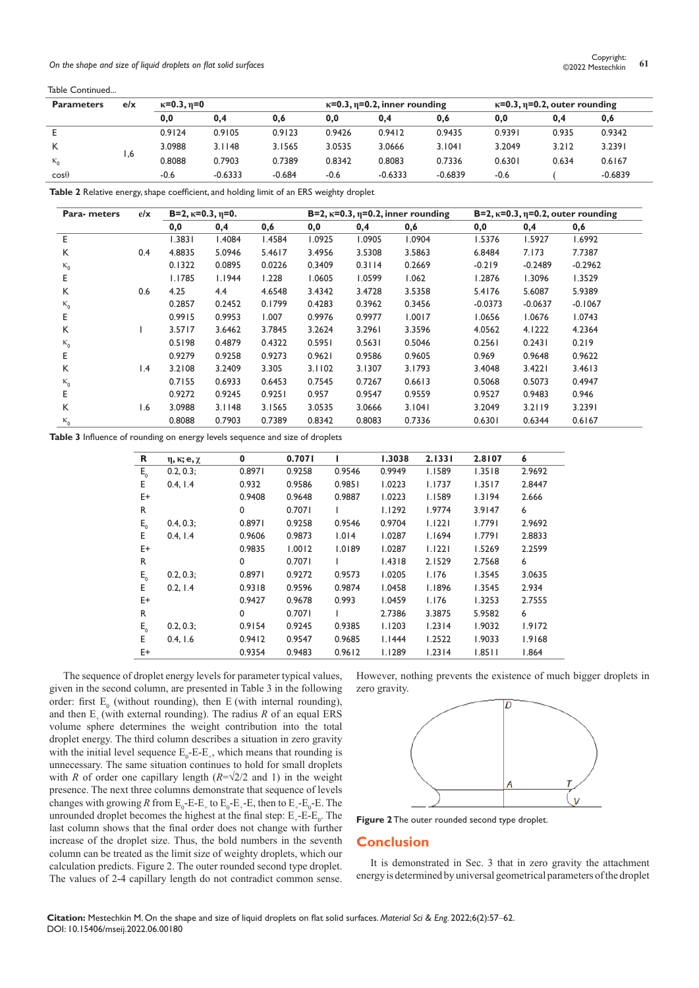Copyright:<br>On the shape and size of liquid droplets on flat solid surfaces **61** Contemporary **61** C<sub>2</sub>022 Mestechkin 61

Table Continued...

| <b>Parameters</b> | $e$ / $x$ | $\kappa$ =0.3, $\eta$ =0 |           |          |        | $\kappa$ =0.3, $\eta$ =0.2, inner rounding |           |        | $\kappa$ =0.3, $\eta$ =0.2, outer rounding |           |  |
|-------------------|-----------|--------------------------|-----------|----------|--------|--------------------------------------------|-----------|--------|--------------------------------------------|-----------|--|
|                   |           | 0,0                      | 0,4       | 0,6      | 0,0    | 0,4                                        | 0,6       | 0,0    | 0,4                                        | 0,6       |  |
| E.                |           | 0.9124                   | 0.9105    | 0.9123   | 0.9426 | 0.9412                                     | 0.9435    | 0.9391 | 0.935                                      | 0.9342    |  |
| K                 |           | 3.0988                   | 3.1148    | 3.1565   | 3.0535 | 3.0666                                     | 3.1041    | 3.2049 | 3.212                                      | 3.2391    |  |
| $\kappa_{0}$      | 6, ا      | 0.8088                   | 0.7903    | 0.7389   | 0.8342 | 0.8083                                     | 0.7336    | 0.6301 | 0.634                                      | 0.6167    |  |
| $cos\theta$       |           | $-0.6$                   | $-0.6333$ | $-0.684$ | $-0.6$ | $-0.6333$                                  | $-0.6839$ | $-0.6$ |                                            | $-0.6839$ |  |

**Table 2** Relative energy, shape coefficient, and holding limit of an ERS weighty droplet

| Para- meters | elx             | $B=2, \kappa=0.3, \eta=0.$ |        |               | $B=2, \kappa=0.3, \eta=0.2,$ inner rounding |        |        | $B=2, \kappa=0.3, \eta=0.2, \text{outer rounding}$ |           |           |
|--------------|-----------------|----------------------------|--------|---------------|---------------------------------------------|--------|--------|----------------------------------------------------|-----------|-----------|
|              |                 | 0,0                        | 0,4    | 0,6           | 0,0                                         | 0,4    | 0,6    | 0,0                                                | 0,4       | 0,6       |
| Е            |                 | 1.3831                     | 1.4084 | <b>1.4584</b> | 1.0925                                      | 1.0905 | 1.0904 | 1.5376                                             | 1.5927    | 1.6992    |
| K            | 0.4             | 4.8835                     | 5.0946 | 5.4617        | 3.4956                                      | 3.5308 | 3.5863 | 6.8484                                             | 7.173     | 7.7387    |
| $K_0$        |                 | 0.1322                     | 0.0895 | 0.0226        | 0.3409                                      | 0.3114 | 0.2669 | $-0.219$                                           | $-0.2489$ | $-0.2962$ |
| Е            |                 | <b>I.I785</b>              | 1.1944 | 1.228         | 1.0605                                      | 1.0599 | 1.062  | 1.2876                                             | 1.3096    | 1.3529    |
| K            | 0.6             | 4.25                       | 4.4    | 4.6548        | 3.4342                                      | 3.4728 | 3.5358 | 5.4176                                             | 5.6087    | 5.9389    |
| $\kappa_0$   |                 | 0.2857                     | 0.2452 | 0.1799        | 0.4283                                      | 0.3962 | 0.3456 | $-0.0373$                                          | $-0.0637$ | $-0.1067$ |
| E            |                 | 0.9915                     | 0.9953 | 1.007         | 0.9976                                      | 0.9977 | 1.0017 | 1.0656                                             | 1.0676    | 1.0743    |
| К            |                 | 3.5717                     | 3.6462 | 3.7845        | 3.2624                                      | 3.2961 | 3.3596 | 4.0562                                             | 4.1222    | 4.2364    |
| $\kappa_0$   |                 | 0.5198                     | 0.4879 | 0.4322        | 0.5951                                      | 0.5631 | 0.5046 | 0.2561                                             | 0.2431    | 0.219     |
| E            |                 | 0.9279                     | 0.9258 | 0.9273        | 0.9621                                      | 0.9586 | 0.9605 | 0.969                                              | 0.9648    | 0.9622    |
| K            | $\mathsf{I}$ .4 | 3.2108                     | 3.2409 | 3.305         | 3.1102                                      | 3.1307 | 3.1793 | 3.4048                                             | 3.4221    | 3.4613    |
| $\kappa_{0}$ |                 | 0.7155                     | 0.6933 | 0.6453        | 0.7545                                      | 0.7267 | 0.6613 | 0.5068                                             | 0.5073    | 0.4947    |
| E            |                 | 0.9272                     | 0.9245 | 0.9251        | 0.957                                       | 0.9547 | 0.9559 | 0.9527                                             | 0.9483    | 0.946     |
| K            | 1.6             | 3.0988                     | 3.1148 | 3.1565        | 3.0535                                      | 3.0666 | 3.1041 | 3.2049                                             | 3.2119    | 3.2391    |
| $\kappa_{0}$ |                 | 0.8088                     | 0.7903 | 0.7389        | 0.8342                                      | 0.8083 | 0.7336 | 0.6301                                             | 0.6344    | 0.6167    |

**Table 3** Influence of rounding on energy levels sequence and size of droplets

| R                       | $\eta$ , $\kappa$ ; e, $\chi$ | 0      | 0.7071 |        | 1.3038 | 2.1331 | 2.8107 | 6      |
|-------------------------|-------------------------------|--------|--------|--------|--------|--------|--------|--------|
| $E_{o}$                 | 0.2, 0.3;                     | 0.8971 | 0.9258 | 0.9546 | 0.9949 | 1.1589 | 1.3518 | 2.9692 |
| E                       | $0.4$ , $1.4$                 | 0.932  | 0.9586 | 0.9851 | 1.0223 | 1.1737 | 1.3517 | 2.8447 |
| E+                      |                               | 0.9408 | 0.9648 | 0.9887 | 1.0223 | 1.1589 | 1.3194 | 2.666  |
| R                       |                               | 0      | 0.7071 |        | 1.1292 | 1.9774 | 3.9147 | 6      |
| $E_{o}$                 | 0.4, 0.3;                     | 0.8971 | 0.9258 | 0.9546 | 0.9704 | 1.1221 | 1.7791 | 2.9692 |
| E                       | $0.4$ , $1.4$                 | 0.9606 | 0.9873 | 1.014  | 1.0287 | 1.1694 | 1.7791 | 2.8833 |
| E+                      |                               | 0.9835 | 1.0012 | 1.0189 | 1.0287 | 1.1221 | 1.5269 | 2.2599 |
| R                       |                               | 0      | 0.7071 |        | 1.4318 | 2.1529 | 2.7568 | 6      |
| $\mathsf{E}_\mathrm{o}$ | 0.2, 0.3;                     | 0.8971 | 0.9272 | 0.9573 | 1.0205 | 1.176  | 1.3545 | 3.0635 |
| E                       | 0.2, 1.4                      | 0.9318 | 0.9596 | 0.9874 | 1.0458 | 1.1896 | 1.3545 | 2.934  |
| E+                      |                               | 0.9427 | 0.9678 | 0.993  | 1.0459 | 1.176  | 1.3253 | 2.7555 |
| R                       |                               | 0      | 0.7071 |        | 2.7386 | 3.3875 | 5.9582 | 6      |
| $\mathsf{E}_{_{\!0}}$   | 0.2, 0.3;                     | 0.9154 | 0.9245 | 0.9385 | 1.1203 | 1.2314 | 1.9032 | 1.9172 |
| E                       | $0.4$ , $1.6$                 | 0.9412 | 0.9547 | 0.9685 | 1.1444 | 1.2522 | 1.9033 | 1.9168 |
| E+                      |                               | 0.9354 | 0.9483 | 0.9612 | 1.1289 | 1.2314 | 1.8511 | 1.864  |

The sequence of droplet energy levels for parameter typical values, given in the second column, are presented in Table 3 in the following order: first  $E_0$  (without rounding), then E (with internal rounding), and then  $E_+$  (with external rounding). The radius  $R_+$  of an equal ERS volume sphere determines the weight contribution into the total droplet energy. The third column describes a situation in zero gravity with the initial level sequence  $E_0$ -E- $E_+$ , which means that rounding is unnecessary. The same situation continues to hold for small droplets with *R* of order one capillary length  $(R=\sqrt{2}/2$  and 1) in the weight presence. The next three columns demonstrate that sequence of levels changes with growing *R* from  $E_0$ -E- $E_+$  to  $E_0$ - $E_+$ -E, then to  $E_+$ - $E_0$ -E. The unrounded droplet becomes the highest at the final step:  $E_{+}$ -E- $E_{0}$ . The last column shows that the final order does not change with further increase of the droplet size. Thus, the bold numbers in the seventh column can be treated as the limit size of weighty droplets, which our calculation predicts. Figure 2. The outer rounded second type droplet. The values of 2-4 capillary length do not contradict common sense.

However, nothing prevents the existence of much bigger droplets in zero gravity.



**Figure 2** The outer rounded second type droplet.

## **Conclusion**

It is demonstrated in Sec. 3 that in zero gravity the attachment energy is determined by universal geometrical parameters of the droplet